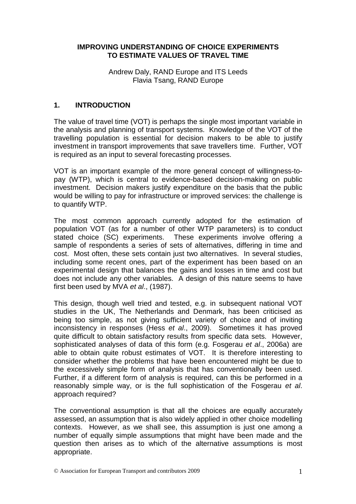#### **IMPROVING UNDERSTANDING OF CHOICE EXPERIMENTS TO ESTIMATE VALUES OF TRAVEL TIME**

Andrew Daly, RAND Europe and ITS Leeds Flavia Tsang, RAND Europe

## **1. INTRODUCTION**

The value of travel time (VOT) is perhaps the single most important variable in the analysis and planning of transport systems. Knowledge of the VOT of the travelling population is essential for decision makers to be able to justify investment in transport improvements that save travellers time. Further, VOT is required as an input to several forecasting processes.

VOT is an important example of the more general concept of willingness-topay (WTP), which is central to evidence-based decision-making on public investment. Decision makers justify expenditure on the basis that the public would be willing to pay for infrastructure or improved services: the challenge is to quantify WTP.

The most common approach currently adopted for the estimation of population VOT (as for a number of other WTP parameters) is to conduct stated choice (SC) experiments. These experiments involve offering a sample of respondents a series of sets of alternatives, differing in time and cost. Most often, these sets contain just two alternatives. In several studies, including some recent ones, part of the experiment has been based on an experimental design that balances the gains and losses in time and cost but does not include any other variables. A design of this nature seems to have first been used by MVA et al., (1987).

This design, though well tried and tested, e.g. in subsequent national VOT studies in the UK, The Netherlands and Denmark, has been criticised as being too simple, as not giving sufficient variety of choice and of inviting inconsistency in responses (Hess et al., 2009). Sometimes it has proved quite difficult to obtain satisfactory results from specific data sets. However, sophisticated analyses of data of this form (e.g. Fosgerau et al., 2006a) are able to obtain quite robust estimates of VOT. It is therefore interesting to consider whether the problems that have been encountered might be due to the excessively simple form of analysis that has conventionally been used. Further, if a different form of analysis is required, can this be performed in a reasonably simple way, or is the full sophistication of the Fosgerau et al. approach required?

The conventional assumption is that all the choices are equally accurately assessed, an assumption that is also widely applied in other choice modelling contexts. However, as we shall see, this assumption is just one among a number of equally simple assumptions that might have been made and the question then arises as to which of the alternative assumptions is most appropriate.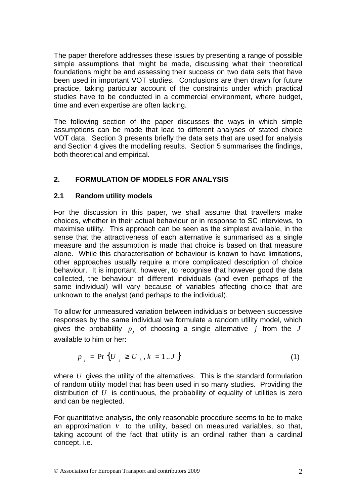The paper therefore addresses these issues by presenting a range of possible simple assumptions that might be made, discussing what their theoretical foundations might be and assessing their success on two data sets that have been used in important VOT studies. Conclusions are then drawn for future practice, taking particular account of the constraints under which practical studies have to be conducted in a commercial environment, where budget, time and even expertise are often lacking.

The following section of the paper discusses the ways in which simple assumptions can be made that lead to different analyses of stated choice VOT data. Section 3 presents briefly the data sets that are used for analysis and Section 4 gives the modelling results. Section 5 summarises the findings, both theoretical and empirical.

# **2. FORMULATION OF MODELS FOR ANALYSIS**

#### **2.1 Random utility models**

For the discussion in this paper, we shall assume that travellers make choices, whether in their actual behaviour or in response to SC interviews, to maximise utility. This approach can be seen as the simplest available, in the sense that the attractiveness of each alternative is summarised as a single measure and the assumption is made that choice is based on that measure alone. While this characterisation of behaviour is known to have limitations, other approaches usually require a more complicated description of choice behaviour. It is important, however, to recognise that however good the data collected, the behaviour of different individuals (and even perhaps of the same individual) will vary because of variables affecting choice that are unknown to the analyst (and perhaps to the individual).

To allow for unmeasured variation between individuals or between successive responses by the same individual we formulate a random utility model, which gives the probability  $p_j$  of choosing a single alternative  $j$  from the  $J$ available to him or her:

$$
p_{j} = \Pr\{U_{j} \ge U_{k}, k = 1..J\}
$$
 (1)

where *U* gives the utility of the alternatives. This is the standard formulation of random utility model that has been used in so many studies. Providing the distribution of *U* is continuous, the probability of equality of utilities is zero and can be neglected.

For quantitative analysis, the only reasonable procedure seems to be to make an approximation *V* to the utility, based on measured variables, so that, taking account of the fact that utility is an ordinal rather than a cardinal concept, i.e.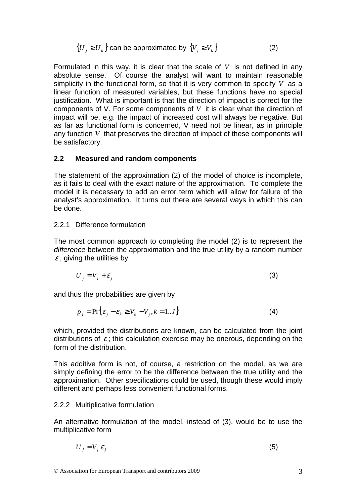$$
\{U_j \ge U_k\} \text{ can be approximated by } \{V_j \ge V_k\} \tag{2}
$$

Formulated in this way, it is clear that the scale of *V* is not defined in any absolute sense. Of course the analyst will want to maintain reasonable simplicity in the functional form, so that it is very common to specify *V* as a linear function of measured variables, but these functions have no special justification. What is important is that the direction of impact is correct for the components of V. For some components of *V* it is clear what the direction of impact will be, e.g. the impact of increased cost will always be negative. But as far as functional form is concerned, V need not be linear, as in principle any function *V* that preserves the direction of impact of these components will be satisfactory.

#### **2.2 Measured and random components**

The statement of the approximation (2) of the model of choice is incomplete, as it fails to deal with the exact nature of the approximation. To complete the model it is necessary to add an error term which will allow for failure of the analyst's approximation. It turns out there are several ways in which this can be done.

#### 2.2.1 Difference formulation

The most common approach to completing the model (2) is to represent the difference between the approximation and the true utility by a random number  $\varepsilon$ , giving the utilities by

$$
U_j = V_j + \varepsilon_j \tag{3}
$$

and thus the probabilities are given by

$$
p_j = \Pr\{\varepsilon_j - \varepsilon_k \ge V_k - V_j, k = 1...J\}
$$
 (4)

which, provided the distributions are known, can be calculated from the joint distributions of  $\varepsilon$ ; this calculation exercise may be onerous, depending on the form of the distribution.

This additive form is not, of course, a restriction on the model, as we are simply defining the error to be the difference between the true utility and the approximation. Other specifications could be used, though these would imply different and perhaps less convenient functional forms.

#### 2.2.2 Multiplicative formulation

An alternative formulation of the model, instead of (3), would be to use the multiplicative form

$$
U_j = V_j \mathcal{E}_j \tag{5}
$$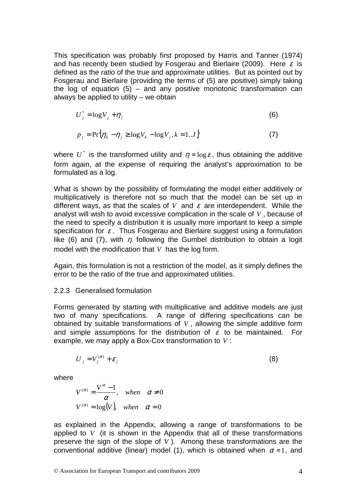This specification was probably first proposed by Harris and Tanner (1974) and has recently been studied by Fosgerau and Bierlaire (2009). Here  $\varepsilon$  is defined as the ratio of the true and approximate utilities. But as pointed out by Fosgerau and Bierlaire (providing the terms of (5) are positive) simply taking the log of equation  $(5)$  – and any positive monotonic transformation can always be applied to utility – we obtain

$$
U_j^* = \log V_j + \eta_j \tag{6}
$$

$$
p_j = \Pr\{\eta_k - \eta_j \ge \log V_k - \log V_j, k = 1..J\}
$$
 (7)

where  $U^*$  is the transformed utility and  $\eta = \log \varepsilon$ , thus obtaining the additive form again, at the expense of requiring the analyst's approximation to be formulated as a log.

What is shown by the possibility of formulating the model either additively or multiplicatively is therefore not so much that the model can be set up in different ways, as that the scales of  $V$  and  $\varepsilon$  are interdependent. While the analyst will wish to avoid excessive complication in the scale of *V* , because of the need to specify a distribution it is usually more important to keep a simple specification for  $\varepsilon$ . Thus Fosgerau and Bierlaire suggest using a formulation like (6) and (7), with  $\eta$  following the Gumbel distribution to obtain a logit model with the modification that *V* has the log form.

Again, this formulation is not a restriction of the model, as it simply defines the error to be the ratio of the true and approximated utilities.

#### 2.2.3 Generalised formulation

Forms generated by starting with multiplicative and additive models are just two of many specifications. A range of differing specifications can be obtained by suitable transformations of *V* , allowing the simple additive form and simple assumptions for the distribution of  $\varepsilon$  to be maintained. For example, we may apply a Box-Cox transformation to *V* :

$$
U_j = V_j^{(\alpha)} + \varepsilon_j \tag{8}
$$

where

$$
V^{(\alpha)} = \frac{V^{\alpha} - 1}{\alpha}, \quad when \quad \alpha \neq 0
$$
  

$$
V^{(\alpha)} = \log(V), \quad when \quad \alpha = 0
$$

as explained in the Appendix, allowing a range of transformations to be applied to *V* (it is shown in the Appendix that all of these transformations preserve the sign of the slope of *V* ). Among these transformations are the conventional additive (linear) model (1), which is obtained when  $\alpha = 1$ , and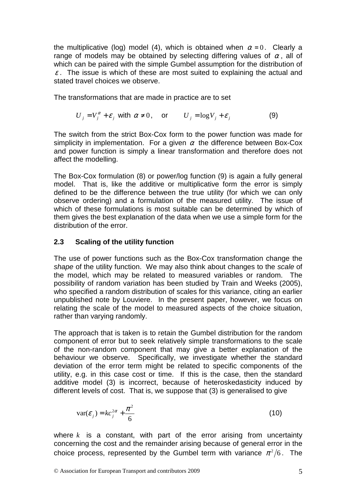the multiplicative (log) model (4), which is obtained when  $\alpha = 0$ . Clearly a range of models may be obtained by selecting differing values of  $\alpha$ , all of which can be paired with the simple Gumbel assumption for the distribution of  $\varepsilon$ . The issue is which of these are most suited to explaining the actual and stated travel choices we observe.

The transformations that are made in practice are to set

$$
U_j = V_j^{\alpha} + \varepsilon_j \text{ with } \alpha \neq 0, \quad \text{or} \quad U_j = \log V_j + \varepsilon_j \tag{9}
$$

The switch from the strict Box-Cox form to the power function was made for simplicity in implementation. For a given  $\alpha$  the difference between Box-Cox and power function is simply a linear transformation and therefore does not affect the modelling.

The Box-Cox formulation (8) or power/log function (9) is again a fully general model. That is, like the additive or multiplicative form the error is simply defined to be the difference between the true utility (for which we can only observe ordering) and a formulation of the measured utility. The issue of which of these formulations is most suitable can be determined by which of them gives the best explanation of the data when we use a simple form for the distribution of the error.

#### **2.3 Scaling of the utility function**

The use of power functions such as the Box-Cox transformation change the shape of the utility function. We may also think about changes to the scale of the model, which may be related to measured variables or random. The possibility of random variation has been studied by Train and Weeks (2005), who specified a random distribution of scales for this variance, citing an earlier unpublished note by Louviere. In the present paper, however, we focus on relating the scale of the model to measured aspects of the choice situation, rather than varying randomly.

The approach that is taken is to retain the Gumbel distribution for the random component of error but to seek relatively simple transformations to the scale of the non-random component that may give a better explanation of the behaviour we observe. Specifically, we investigate whether the standard deviation of the error term might be related to specific components of the utility, e.g. in this case cost or time. If this is the case, then the standard additive model (3) is incorrect, because of heteroskedasticity induced by different levels of cost. That is, we suppose that (3) is generalised to give

$$
var(\varepsilon_j) = kc_j^{2\alpha} + \frac{\pi^2}{6}
$$
 (10)

where *k* is a constant, with part of the error arising from uncertainty concerning the cost and the remainder arising because of general error in the choice process, represented by the Gumbel term with variance  $\pi^2/6$ . The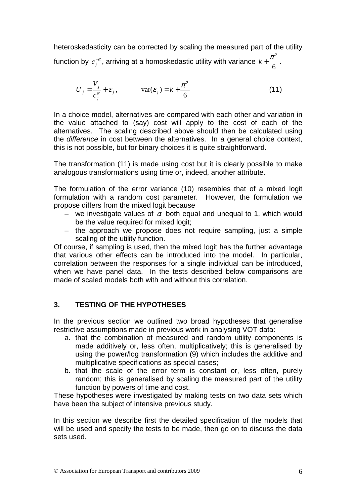heteroskedasticity can be corrected by scaling the measured part of the utility function by  $c_j^{-\alpha}$ , arriving at a homoskedastic utility with variance 6  $k + \frac{\pi^2}{\epsilon}$ .

$$
U_j = \frac{V_j}{c_j^{\alpha}} + \varepsilon_j, \qquad \text{var}(\varepsilon_j) = k + \frac{\pi^2}{6}
$$
 (11)

In a choice model, alternatives are compared with each other and variation in the value attached to (say) cost will apply to the cost of each of the alternatives. The scaling described above should then be calculated using the difference in cost between the alternatives. In a general choice context, this is not possible, but for binary choices it is quite straightforward.

The transformation (11) is made using cost but it is clearly possible to make analogous transformations using time or, indeed, another attribute.

The formulation of the error variance (10) resembles that of a mixed logit formulation with a random cost parameter. However, the formulation we propose differs from the mixed logit because

- we investigate values of  $\alpha$  both equal and unequal to 1, which would be the value required for mixed logit;
- the approach we propose does not require sampling, just a simple scaling of the utility function.

Of course, if sampling is used, then the mixed logit has the further advantage that various other effects can be introduced into the model. In particular, correlation between the responses for a single individual can be introduced, when we have panel data. In the tests described below comparisons are made of scaled models both with and without this correlation.

## **3. TESTING OF THE HYPOTHESES**

In the previous section we outlined two broad hypotheses that generalise restrictive assumptions made in previous work in analysing VOT data:

- a. that the combination of measured and random utility components is made additively or, less often, multiplicatively; this is generalised by using the power/log transformation (9) which includes the additive and multiplicative specifications as special cases;
- b. that the scale of the error term is constant or, less often, purely random; this is generalised by scaling the measured part of the utility function by powers of time and cost.

These hypotheses were investigated by making tests on two data sets which have been the subject of intensive previous study.

In this section we describe first the detailed specification of the models that will be used and specify the tests to be made, then go on to discuss the data sets used.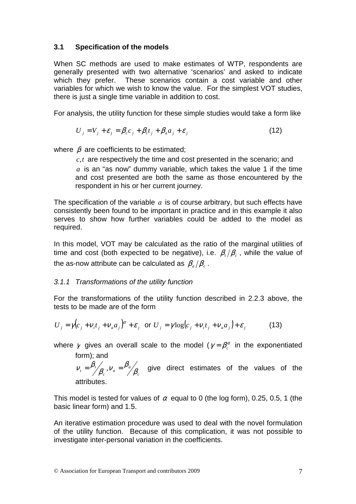## **3.1 Specification of the models**

When SC methods are used to make estimates of WTP, respondents are generally presented with two alternative 'scenarios' and asked to indicate which they prefer. These scenarios contain a cost variable and other variables for which we wish to know the value. For the simplest VOT studies, there is just a single time variable in addition to cost.

For analysis, the utility function for these simple studies would take a form like

$$
U_j = V_j + \varepsilon_j = \beta_c c_j + \beta_i t_j + \beta_a a_j + \varepsilon_j
$$
\n(12)

where  $\beta$  are coefficients to be estimated;

*c*,*t* are respectively the time and cost presented in the scenario; and *a* is an "as now" dummy variable, which takes the value 1 if the time and cost presented are both the same as those encountered by the respondent in his or her current journey.

The specification of the variable *a* is of course arbitrary, but such effects have consistently been found to be important in practice and in this example it also serves to show how further variables could be added to the model as required.

In this model, VOT may be calculated as the ratio of the marginal utilities of time and cost (both expected to be negative), i.e.  $\beta_{\scriptscriptstyle t}/\beta_{\scriptscriptstyle c}$  , while the value of the as-now attribute can be calculated as  $\beta_{\scriptscriptstyle a}/\beta_{\scriptscriptstyle c}$  .

## 3.1.1 Transformations of the utility function

For the transformations of the utility function described in 2.2.3 above, the tests to be made are of the form

$$
U_j = \gamma (c_j + v_i t_j + v_a a_j)^{\alpha} + \varepsilon_j \text{ or } U_j = \gamma \log (c_j + v_i t_j + v_a a_j) + \varepsilon_j
$$
 (13)

where  $\gamma$  gives an overall scale to the model ( $\gamma = \beta_c^\alpha$  in the exponentiated form); and

*c*  $\alpha$ <sub>c</sub>,  $V_a = \frac{\mu_a}{\sqrt{2\pi}}$  $v_t = \frac{\mu_t}{\beta_c}, v_a = \frac{\mu_a}{\beta_d}$  $\begin{array}{c} \beta_c \,, V_a = \beta_a \end{array}$  $v_t = \frac{\beta_t}{g}$ ,  $v_a = \frac{\beta_a}{g}$  give direct estimates of the values of the attributes.

This model is tested for values of  $\alpha$  equal to 0 (the log form), 0.25, 0.5, 1 (the basic linear form) and 1.5.

An iterative estimation procedure was used to deal with the novel formulation of the utility function. Because of this complication, it was not possible to investigate inter-personal variation in the coefficients.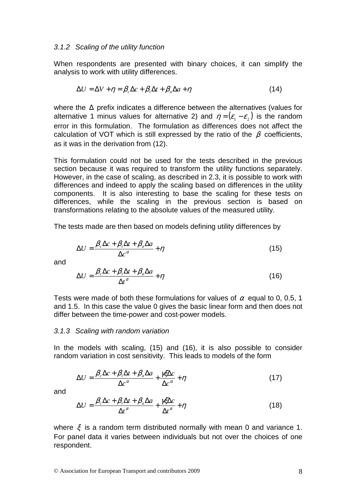#### 3.1.2 Scaling of the utility function

When respondents are presented with binary choices, it can simplify the analysis to work with utility differences.

$$
\Delta U = \Delta V + \eta = \beta_c \Delta c + \beta_t \Delta t + \beta_a \Delta a + \eta
$$
\n(14)

where the ∆ prefix indicates a difference between the alternatives (values for alternative 1 minus values for alternative 2) and  $\eta = (\varepsilon_1 - \varepsilon_2)$  is the random error in this formulation. The formulation as differences does not affect the calculation of VOT which is still expressed by the ratio of the  $\beta$  coefficients, as it was in the derivation from (12).

This formulation could not be used for the tests described in the previous section because it was required to transform the utility functions separately. However, in the case of scaling, as described in 2.3, it is possible to work with differences and indeed to apply the scaling based on differences in the utility components. It is also interesting to base the scaling for these tests on differences, while the scaling in the previous section is based on transformations relating to the absolute values of the measured utility.

The tests made are then based on models defining utility differences by

$$
\Delta U = \frac{\beta_c \Delta c + \beta_i \Delta t + \beta_a \Delta a}{\Delta c^{\alpha}} + \eta
$$
\n(15)

and

$$
\Delta U = \frac{\beta_c \Delta c + \beta_t \Delta t + \beta_a \Delta a}{\Delta t^{\alpha}} + \eta
$$
\n(16)

Tests were made of both these formulations for values of  $\alpha$  equal to 0, 0.5, 1 and 1.5. In this case the value 0 gives the basic linear form and then does not differ between the time-power and cost-power models.

#### 3.1.3 Scaling with random variation

In the models with scaling, (15) and (16), it is also possible to consider random variation in cost sensitivity. This leads to models of the form

$$
\Delta U = \frac{\beta_c \Delta c + \beta_t \Delta t + \beta_a \Delta a}{\Delta c^{\alpha}} + \frac{\gamma \xi \Delta c}{\Delta c^{\alpha}} + \eta
$$
\n(17)

and

$$
\Delta U = \frac{\beta_c \Delta c + \beta_t \Delta t + \beta_a \Delta a}{\Delta t^{\alpha}} + \frac{\gamma \xi \Delta c}{\Delta t^{\alpha}} + \eta
$$
\n(18)

where  $\xi$  is a random term distributed normally with mean 0 and variance 1. For panel data it varies between individuals but not over the choices of one respondent.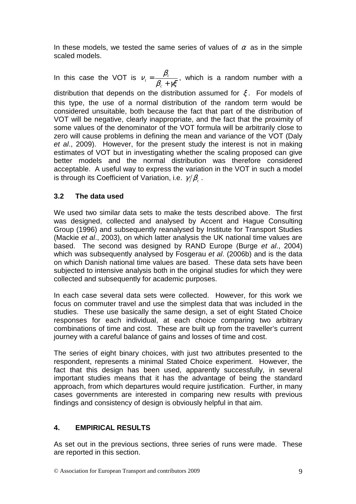In these models, we tested the same series of values of  $\alpha$  as in the simple scaled models.

In this case the VOT is  $\beta_c + \gamma \xi$  $V_t = \frac{\beta_t}{\beta_c + \beta_t}$ = *c t*  $t<sub>t</sub> = \frac{P_t}{Q_t}$ , which is a random number with a

distribution that depends on the distribution assumed for  $\xi$ . For models of this type, the use of a normal distribution of the random term would be considered unsuitable, both because the fact that part of the distribution of VOT will be negative, clearly inappropriate, and the fact that the proximity of some values of the denominator of the VOT formula will be arbitrarily close to zero will cause problems in defining the mean and variance of the VOT (Daly et al., 2009). However, for the present study the interest is not in making estimates of VOT but in investigating whether the scaling proposed can give better models and the normal distribution was therefore considered acceptable. A useful way to express the variation in the VOT in such a model is through its Coefficient of Variation, i.e.  $\,\gamma/\beta_{\scriptscriptstyle c}^{}$  .

## **3.2 The data used**

We used two similar data sets to make the tests described above. The first was designed, collected and analysed by Accent and Hague Consulting Group (1996) and subsequently reanalysed by Institute for Transport Studies (Mackie et al., 2003), on which latter analysis the UK national time values are based. The second was designed by RAND Europe (Burge et al., 2004) which was subsequently analysed by Fosgerau et al. (2006b) and is the data on which Danish national time values are based. These data sets have been subjected to intensive analysis both in the original studies for which they were collected and subsequently for academic purposes.

In each case several data sets were collected. However, for this work we focus on commuter travel and use the simplest data that was included in the studies. These use basically the same design, a set of eight Stated Choice responses for each individual, at each choice comparing two arbitrary combinations of time and cost. These are built up from the traveller's current iourney with a careful balance of gains and losses of time and cost.

The series of eight binary choices, with just two attributes presented to the respondent, represents a minimal Stated Choice experiment. However, the fact that this design has been used, apparently successfully, in several important studies means that it has the advantage of being the standard approach, from which departures would require justification. Further, in many cases governments are interested in comparing new results with previous findings and consistency of design is obviously helpful in that aim.

# **4. EMPIRICAL RESULTS**

As set out in the previous sections, three series of runs were made. These are reported in this section.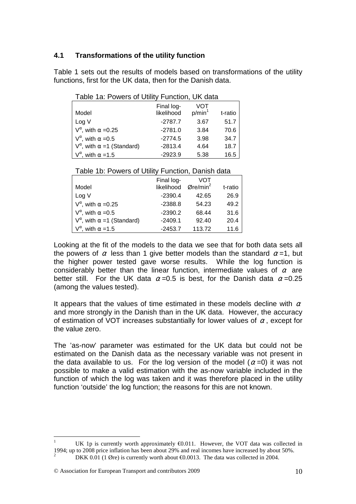#### **4.1 Transformations of the utility function**

Table 1 sets out the results of models based on transformations of the utility functions, first for the UK data, then for the Danish data.

| Table 1a: Powers of Utility Function, UK data |  |  |  |  |
|-----------------------------------------------|--|--|--|--|
|-----------------------------------------------|--|--|--|--|

|                                             | Final log- | VOT                |         |
|---------------------------------------------|------------|--------------------|---------|
| Model                                       | likelihood | p/min <sup>1</sup> | t-ratio |
| Log V                                       | $-2787.7$  | 3.67               | 51.7    |
| $V^{\alpha}$ , with $\alpha = 0.25$         | $-2781.0$  | 3.84               | 70.6    |
| $V^{\alpha}$ , with $\alpha = 0.5$          | $-2774.5$  | 3.98               | 34.7    |
| $V^{\alpha}$ , with $\alpha = 1$ (Standard) | $-2813.4$  | 4.64               | 18.7    |
| $V^{\alpha}$ , with $\alpha = 1.5$          | $-2923.9$  | 5.38               | 16.5    |

|                                            | Final log-                                   | VOT    |         |
|--------------------------------------------|----------------------------------------------|--------|---------|
| Model                                      | likelihood $\varnothing$ re/min <sup>2</sup> |        | t-ratio |
| Log V                                      | $-2390.4$                                    | 42.65  | 26.9    |
| $V^{\alpha}$ , with $\alpha = 0.25$        | $-2388.8$                                    | 54.23  | 49.2    |
| $V^{\alpha}$ , with $\alpha = 0.5$         | $-2390.2$                                    | 68.44  | 31.6    |
| $V^{\alpha}$ , with $\alpha$ =1 (Standard) | $-2409.1$                                    | 92.40  | 20.4    |
| $V^{\alpha}$ , with $\alpha = 1.5$         | $-2453.7$                                    | 113.72 | 11.6    |

Looking at the fit of the models to the data we see that for both data sets all the powers of  $\alpha$  less than 1 give better models than the standard  $\alpha = 1$ , but the higher power tested gave worse results. While the log function is considerably better than the linear function, intermediate values of  $\alpha$  are better still. For the UK data  $\alpha = 0.5$  is best, for the Danish data  $\alpha = 0.25$ (among the values tested).

It appears that the values of time estimated in these models decline with  $\alpha$ and more strongly in the Danish than in the UK data. However, the accuracy of estimation of VOT increases substantially for lower values of  $\alpha$ , except for the value zero.

The 'as-now' parameter was estimated for the UK data but could not be estimated on the Danish data as the necessary variable was not present in the data available to us. For the log version of the model ( $\alpha$ =0) it was not possible to make a valid estimation with the as-now variable included in the function of which the log was taken and it was therefore placed in the utility function 'outside' the log function; the reasons for this are not known.

 $\overline{a}$ 

<sup>1</sup> UK 1p is currently worth approximately  $\epsilon 0.011$ . However, the VOT data was collected in 1994; up to 2008 price inflation has been about 29% and real incomes have increased by about 50%. 2 DKK 0.01 (1 Øre) is currently worth about  $\epsilon$ 0.0013. The data was collected in 2004.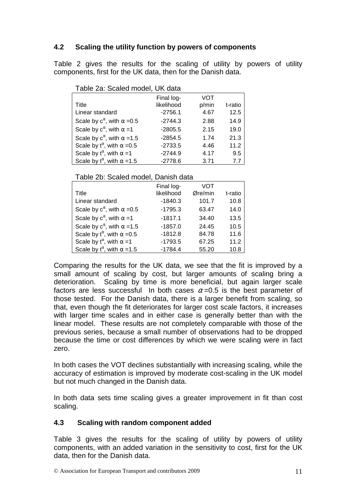# **4.2 Scaling the utility function by powers of components**

Table 2 gives the results for the scaling of utility by powers of utility components, first for the UK data, then for the Danish data.

| Table za: Scaled model, UK data             |            |       |         |  |  |  |
|---------------------------------------------|------------|-------|---------|--|--|--|
|                                             | Final log- | VOT   |         |  |  |  |
| Title                                       | likelihood | p/min | t-ratio |  |  |  |
| Linear standard                             | $-2756.1$  | 4.67  | 12.5    |  |  |  |
| Scale by $c^{\alpha}$ , with $\alpha = 0.5$ | $-2744.3$  | 2.88  | 14.9    |  |  |  |
| Scale by $c^{\alpha}$ , with $\alpha = 1$   | $-2805.5$  | 2.15  | 19.0    |  |  |  |
| Scale by $c^{\alpha}$ , with $\alpha = 1.5$ | $-2854.5$  | 1.74  | 21.3    |  |  |  |
| Scale by $t^{\alpha}$ , with $\alpha = 0.5$ | $-2733.5$  | 4.46  | 11.2    |  |  |  |
| Scale by $t^{\alpha}$ , with $\alpha = 1$   | $-2744.9$  | 4.17  | 9.5     |  |  |  |
| Scale by $t^{\alpha}$ , with $\alpha = 1.5$ | $-2778.6$  | 3.71  | 7.7     |  |  |  |

# Table 2a: Scaled model, UK data

#### Table 2b: Scaled model, Danish data

|                                             | Final log- | VOT     |         |
|---------------------------------------------|------------|---------|---------|
| Title                                       | likelihood | Øre/min | t-ratio |
| Linear standard                             | $-1840.3$  | 101.7   | 10.8    |
| Scale by $c^{\alpha}$ , with $\alpha = 0.5$ | $-1795.3$  | 63.47   | 14.0    |
| Scale by $c^{\alpha}$ , with $\alpha = 1$   | $-1817.1$  | 34.40   | 13.5    |
| Scale by $c^{\alpha}$ , with $\alpha = 1.5$ | $-1857.0$  | 24.45   | 10.5    |
| Scale by $t^{\alpha}$ , with $\alpha = 0.5$ | $-1812.8$  | 84.78   | 11.6    |
| Scale by $t^{\alpha}$ , with $\alpha = 1$   | $-1793.5$  | 67.25   | 11.2    |
| Scale by $t^{\alpha}$ , with $\alpha = 1.5$ | $-1784.4$  | 55.20   | 10.8    |

Comparing the results for the UK data, we see that the fit is improved by a small amount of scaling by cost, but larger amounts of scaling bring a deterioration. Scaling by time is more beneficial, but again larger scale factors are less successful In both cases  $\alpha$  =0.5 is the best parameter of those tested. For the Danish data, there is a larger benefit from scaling, so that, even though the fit deteriorates for larger cost scale factors, it increases with larger time scales and in either case is generally better than with the linear model. These results are not completely comparable with those of the previous series, because a small number of observations had to be dropped because the time or cost differences by which we were scaling were in fact zero.

In both cases the VOT declines substantially with increasing scaling, while the accuracy of estimation is improved by moderate cost-scaling in the UK model but not much changed in the Danish data.

In both data sets time scaling gives a greater improvement in fit than cost scaling.

## **4.3 Scaling with random component added**

Table 3 gives the results for the scaling of utility by powers of utility components, with an added variation in the sensitivity to cost, first for the UK data, then for the Danish data.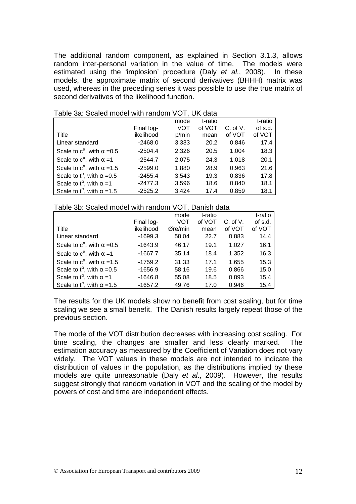The additional random component, as explained in Section 3.1.3, allows random inter-personal variation in the value of time. The models were estimated using the 'implosion' procedure (Daly et al., 2008). In these models, the approximate matrix of second derivatives (BHHH) matrix was used, whereas in the preceding series it was possible to use the true matrix of second derivatives of the likelihood function.

|                                             |            | mode  | t-ratio |              | t-ratio |
|---------------------------------------------|------------|-------|---------|--------------|---------|
|                                             | Final log- | VOT   | of VOT  | $C.$ of $V.$ | of s.d. |
| Title                                       | likelihood | p/min | mean    | of VOT       | of VOT  |
| Linear standard                             | $-2468.0$  | 3.333 | 20.2    | 0.846        | 17.4    |
| Scale to $c^{\alpha}$ , with $\alpha = 0.5$ | $-2504.4$  | 2.326 | 20.5    | 1.004        | 18.3    |
| Scale to $c^{\alpha}$ , with $\alpha = 1$   | $-2544.7$  | 2.075 | 24.3    | 1.018        | 20.1    |
| Scale to $c^{\alpha}$ , with $\alpha$ =1.5  | $-2599.0$  | 1.880 | 28.9    | 0.963        | 21.6    |
| Scale to $t^{\alpha}$ , with $\alpha = 0.5$ | $-2455.4$  | 3.543 | 19.3    | 0.836        | 17.8    |
| Scale to $t^{\alpha}$ , with $\alpha = 1$   | $-2477.3$  | 3.596 | 18.6    | 0.840        | 18.1    |
| Scale to $t^{\alpha}$ , with $\alpha = 1.5$ | $-2525.2$  | 3.424 | 17.4    | 0.859        | 18.1    |

Table 3a: Scaled model with random VOT, UK data

| Table 3b: Scaled model with random VOT, Danish data |  |  |  |  |  |
|-----------------------------------------------------|--|--|--|--|--|
|-----------------------------------------------------|--|--|--|--|--|

|                                             |            | mode    | t-ratio |              | t-ratio |
|---------------------------------------------|------------|---------|---------|--------------|---------|
|                                             | Final log- | VOT     | of VOT  | $C.$ of $V.$ | of s.d. |
| Title                                       | likelihood | Øre/min | mean    | of VOT       | of VOT  |
| Linear standard                             | $-1699.3$  | 58.04   | 22.7    | 0.883        | 14.4    |
| Scale to $c^{\alpha}$ , with $\alpha = 0.5$ | $-1643.9$  | 46.17   | 19.1    | 1.027        | 16.1    |
| Scale to $c^{\alpha}$ , with $\alpha = 1$   | $-1667.7$  | 35.14   | 18.4    | 1.352        | 16.3    |
| Scale to $c^{\alpha}$ , with $\alpha = 1.5$ | $-1759.2$  | 31.33   | 17.1    | 1.655        | 15.3    |
| Scale to $t^{\alpha}$ , with $\alpha = 0.5$ | $-1656.9$  | 58.16   | 19.6    | 0.866        | 15.0    |
| Scale to $t^{\alpha}$ , with $\alpha = 1$   | $-1646.8$  | 55.08   | 18.5    | 0.893        | 15.4    |
| Scale to $t^{\alpha}$ , with $\alpha = 1.5$ | $-1657.2$  | 49.76   | 17.0    | 0.946        | 15.4    |

The results for the UK models show no benefit from cost scaling, but for time scaling we see a small benefit. The Danish results largely repeat those of the previous section.

The mode of the VOT distribution decreases with increasing cost scaling. For time scaling, the changes are smaller and less clearly marked. The estimation accuracy as measured by the Coefficient of Variation does not vary widely. The VOT values in these models are not intended to indicate the distribution of values in the population, as the distributions implied by these models are quite unreasonable (Daly et al., 2009). However, the results suggest strongly that random variation in VOT and the scaling of the model by powers of cost and time are independent effects.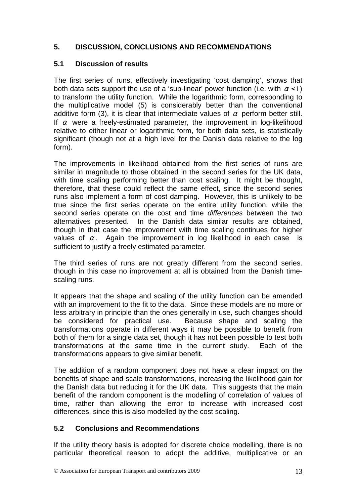# **5. DISCUSSION, CONCLUSIONS AND RECOMMENDATIONS**

## **5.1 Discussion of results**

The first series of runs, effectively investigating 'cost damping', shows that both data sets support the use of a 'sub-linear' power function (i.e. with  $\alpha$  < 1) to transform the utility function. While the logarithmic form, corresponding to the multiplicative model (5) is considerably better than the conventional additive form (3), it is clear that intermediate values of  $\alpha$  perform better still. If  $\alpha$  were a freely-estimated parameter, the improvement in log-likelihood relative to either linear or logarithmic form, for both data sets, is statistically significant (though not at a high level for the Danish data relative to the log form).

The improvements in likelihood obtained from the first series of runs are similar in magnitude to those obtained in the second series for the UK data, with time scaling performing better than cost scaling. It might be thought, therefore, that these could reflect the same effect, since the second series runs also implement a form of cost damping. However, this is unlikely to be true since the first series operate on the entire utility function, while the second series operate on the cost and time differences between the two alternatives presented. In the Danish data similar results are obtained, though in that case the improvement with time scaling continues for higher values of  $\alpha$ . Again the improvement in log likelihood in each case is sufficient to justify a freely estimated parameter.

The third series of runs are not greatly different from the second series. though in this case no improvement at all is obtained from the Danish timescaling runs.

It appears that the shape and scaling of the utility function can be amended with an improvement to the fit to the data. Since these models are no more or less arbitrary in principle than the ones generally in use, such changes should be considered for practical use. Because shape and scaling the transformations operate in different ways it may be possible to benefit from both of them for a single data set, though it has not been possible to test both transformations at the same time in the current study. Each of the transformations appears to give similar benefit.

The addition of a random component does not have a clear impact on the benefits of shape and scale transformations, increasing the likelihood gain for the Danish data but reducing it for the UK data. This suggests that the main benefit of the random component is the modelling of correlation of values of time, rather than allowing the error to increase with increased cost differences, since this is also modelled by the cost scaling.

## **5.2 Conclusions and Recommendations**

If the utility theory basis is adopted for discrete choice modelling, there is no particular theoretical reason to adopt the additive, multiplicative or an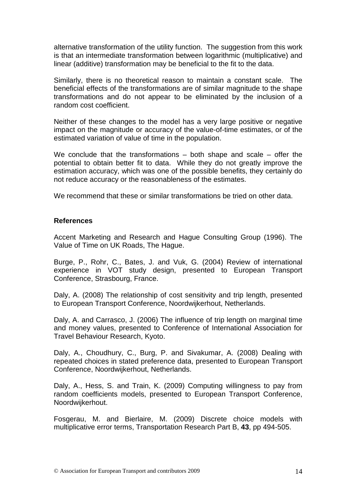alternative transformation of the utility function. The suggestion from this work is that an intermediate transformation between logarithmic (multiplicative) and linear (additive) transformation may be beneficial to the fit to the data.

Similarly, there is no theoretical reason to maintain a constant scale. The beneficial effects of the transformations are of similar magnitude to the shape transformations and do not appear to be eliminated by the inclusion of a random cost coefficient.

Neither of these changes to the model has a very large positive or negative impact on the magnitude or accuracy of the value-of-time estimates, or of the estimated variation of value of time in the population.

We conclude that the transformations  $-$  both shape and scale  $-$  offer the potential to obtain better fit to data. While they do not greatly improve the estimation accuracy, which was one of the possible benefits, they certainly do not reduce accuracy or the reasonableness of the estimates.

We recommend that these or similar transformations be tried on other data.

#### **References**

Accent Marketing and Research and Hague Consulting Group (1996). The Value of Time on UK Roads, The Hague.

Burge, P., Rohr, C., Bates, J. and Vuk, G. (2004) Review of international experience in VOT study design, presented to European Transport Conference, Strasbourg, France.

Daly, A. (2008) The relationship of cost sensitivity and trip length, presented to European Transport Conference, Noordwijkerhout, Netherlands.

Daly, A. and Carrasco, J. (2006) The influence of trip length on marginal time and money values, presented to Conference of International Association for Travel Behaviour Research, Kyoto.

Daly, A., Choudhury, C., Burg, P. and Sivakumar, A. (2008) Dealing with repeated choices in stated preference data, presented to European Transport Conference, Noordwijkerhout, Netherlands.

Daly, A., Hess, S. and Train, K. (2009) Computing willingness to pay from random coefficients models, presented to European Transport Conference, Noordwijkerhout.

Fosgerau, M. and Bierlaire, M. (2009) Discrete choice models with multiplicative error terms, Transportation Research Part B, **43**, pp 494-505.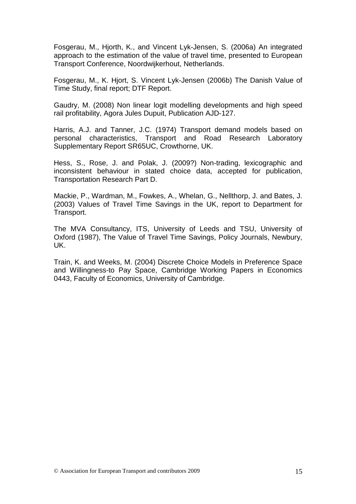Fosgerau, M., Hjorth, K., and Vincent Lyk-Jensen, S. (2006a) An integrated approach to the estimation of the value of travel time, presented to European Transport Conference, Noordwijkerhout, Netherlands.

Fosgerau, M., K. Hjort, S. Vincent Lyk-Jensen (2006b) The Danish Value of Time Study, final report; DTF Report.

Gaudry, M. (2008) Non linear logit modelling developments and high speed rail profitability, Agora Jules Dupuit, Publication AJD-127.

Harris, A.J. and Tanner, J.C. (1974) Transport demand models based on personal characteristics, Transport and Road Research Laboratory Supplementary Report SR65UC, Crowthorne, UK.

Hess, S., Rose, J. and Polak, J. (2009?) Non-trading, lexicographic and inconsistent behaviour in stated choice data, accepted for publication, Transportation Research Part D.

Mackie, P., Wardman, M., Fowkes, A., Whelan, G., Nellthorp, J. and Bates, J. (2003) Values of Travel Time Savings in the UK, report to Department for Transport.

The MVA Consultancy, ITS, University of Leeds and TSU, University of Oxford (1987), The Value of Travel Time Savings, Policy Journals, Newbury, UK.

Train, K. and Weeks, M. (2004) Discrete Choice Models in Preference Space and Willingness-to Pay Space, Cambridge Working Papers in Economics 0443, Faculty of Economics, University of Cambridge.